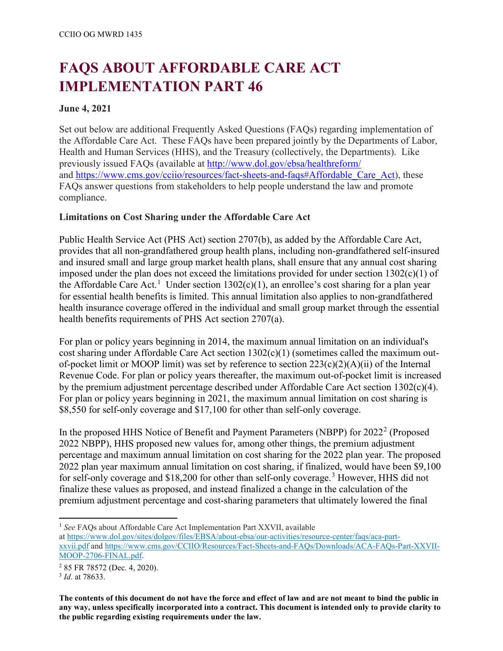# **FAQS ABOUT AFFORDABLE CARE ACT IMPLEMENTATION PART 46**

## **June 4, 2021**

Set out below are additional Frequently Asked Questions (FAQs) regarding implementation of the Affordable Care Act. These FAQs have been prepared jointly by the Departments of Labor, Health and Human Services (HHS), and the Treasury (collectively, the Departments). Like previously issued FAQs (available at<http://www.dol.gov/ebsa/healthreform/> and [https://www.cms.gov/cciio/resources/fact-sheets-and-faqs#Affordable\\_Care\\_Act\)](https://www.cms.gov/cciio/resources/fact-sheets-and-faqs#Affordable_Care_Act), these FAQs answer questions from stakeholders to help people understand the law and promote compliance.

# **Limitations on Cost Sharing under the Affordable Care Act**

Public Health Service Act (PHS Act) section 2707(b), as added by the Affordable Care Act, provides that all non-grandfathered group health plans, including non-grandfathered self-insured and insured small and large group market health plans, shall ensure that any annual cost sharing imposed under the plan does not exceed the limitations provided for under section 1302(c)(1) of the Affordable Care Act.<sup>[1](#page-0-0)</sup> Under section  $1302(c)(1)$ , an enrollee's cost sharing for a plan year for essential health benefits is limited. This annual limitation also applies to non-grandfathered health insurance coverage offered in the individual and small group market through the essential health benefits requirements of PHS Act section 2707(a).

For plan or policy years beginning in 2014, the maximum annual limitation on an individual's cost sharing under Affordable Care Act section 1302(c)(1) (sometimes called the maximum outof-pocket limit or MOOP limit) was set by reference to section  $223(c)(2)(A)(ii)$  of the Internal Revenue Code. For plan or policy years thereafter, the maximum out-of-pocket limit is increased by the premium adjustment percentage described under Affordable Care Act section  $1302(c)(4)$ . For plan or policy years beginning in 2021, the maximum annual limitation on cost sharing is \$8,550 for self-only coverage and \$17,100 for other than self-only coverage.

In the proposed HHS Notice of Benefit and Payment Parameters (NBPP) for  $2022^2$  $2022^2$  (Proposed 2022 NBPP), HHS proposed new values for, among other things, the premium adjustment percentage and maximum annual limitation on cost sharing for the 2022 plan year. The proposed 2022 plan year maximum annual limitation on cost sharing, if finalized, would have been \$9,100 for self-only coverage and \$18,200 for other than self-only coverage.<sup>[3](#page-0-2)</sup> However, HHS did not finalize these values as proposed, and instead finalized a change in the calculation of the premium adjustment percentage and cost-sharing parameters that ultimately lowered the final

<span id="page-0-0"></span><sup>1</sup> See FAQs about Affordable Care Act Implementation Part XXVII, available

l

at [https://www.dol.gov/sites/dolgov/files/EBSA/about-ebsa/our-activities/resource-center/faqs/aca-part](https://www.dol.gov/sites/dolgov/files/EBSA/about-ebsa/our-activities/resource-center/faqs/aca-part-xxvii.pdf)[xxvii.pdf](https://www.dol.gov/sites/dolgov/files/EBSA/about-ebsa/our-activities/resource-center/faqs/aca-part-xxvii.pdf) and [https://www.cms.gov/CCIIO/Resources/Fact-Sheets-and-FAQs/Downloads/ACA-FAQs-Part-XXVII-](https://www.cms.gov/CCIIO/Resources/Fact-Sheets-and-FAQs/Downloads/ACA-FAQs-Part-XXVII-MOOP-2706-FINAL.pdf)[MOOP-2706-FINAL.pdf.](https://www.cms.gov/CCIIO/Resources/Fact-Sheets-and-FAQs/Downloads/ACA-FAQs-Part-XXVII-MOOP-2706-FINAL.pdf)

<span id="page-0-1"></span><sup>2</sup> 85 FR 78572 (Dec. 4, 2020). 3 *Id*. at 78633.

<span id="page-0-2"></span>

**The contents of this document do not have the force and effect of law and are not meant to bind the public in any way, unless specifically incorporated into a contract. This document is intended only to provide clarity to the public regarding existing requirements under the law.**